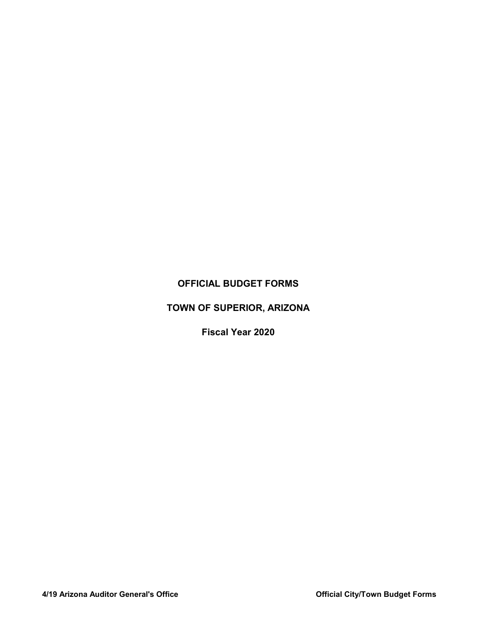## OFFICIAL BUDGET FORMS

# TOWN OF SUPERIOR, ARIZONA

Fiscal Year 2020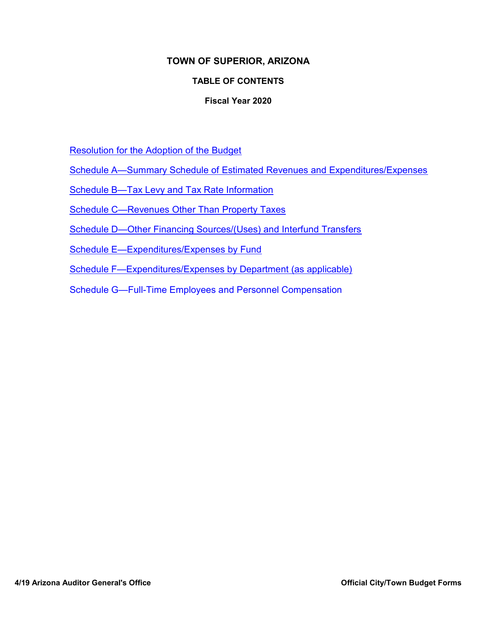### TOWN OF SUPERIOR, ARIZONA

### TABLE OF CONTENTS

### Fiscal Year 2020

Resolution for the Adoption of the Budget

Schedule A—Summary Schedule of Estimated Revenues and Expenditures/Expenses

Schedule B—Tax Levy and Tax Rate Information

Schedule C—Revenues Other Than Property Taxes

Schedule D—Other Financing Sources/(Uses) and Interfund Transfers

Schedule E—Expenditures/Expenses by Fund

Schedule F—Expenditures/Expenses by Department (as applicable)

Schedule G—Full-Time Employees and Personnel Compensation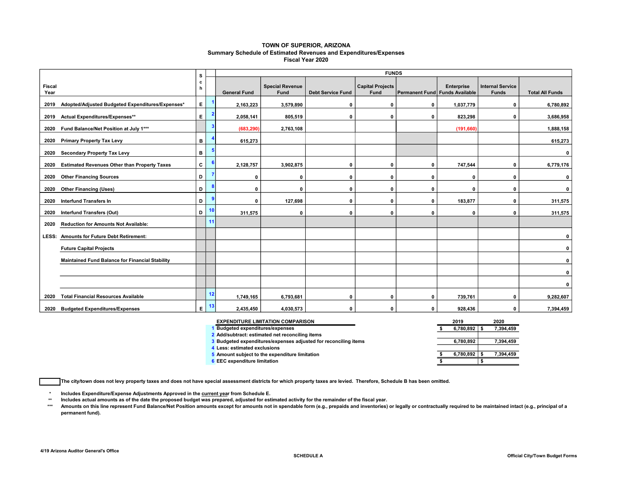#### TOWN OF SUPERIOR, ARIZONA Summary Schedule of Estimated Revenues and Expenditures/Expenses Fiscal Year 2020

|                |                                                        | s                                     | <b>FUNDS</b> |                     |                                       |                          |                                 |              |                                              |                                         |                        |  |  |  |
|----------------|--------------------------------------------------------|---------------------------------------|--------------|---------------------|---------------------------------------|--------------------------|---------------------------------|--------------|----------------------------------------------|-----------------------------------------|------------------------|--|--|--|
| Fiscal<br>Year |                                                        | с<br>h                                |              | <b>General Fund</b> | <b>Special Revenue</b><br><b>Fund</b> | <b>Debt Service Fund</b> | <b>Capital Projects</b><br>Fund |              | Enterprise<br>Permanent Fund Funds Available | <b>Internal Service</b><br><b>Funds</b> | <b>Total All Funds</b> |  |  |  |
| 2019           | Adopted/Adjusted Budgeted Expenditures/Expenses*       | $\mathsf{E}^{\scriptscriptstyle\top}$ |              | 2,163,223           | 3,579,890                             | 0                        | 0                               | $\mathbf 0$  | 1,037,779                                    | 0                                       | 6,780,892              |  |  |  |
| 2019           | Actual Expenditures/Expenses**                         | E.                                    | -2           | 2,058,141           | 805,519                               | $\Omega$                 | $\mathbf{0}$                    | $\mathbf{0}$ | 823,298                                      | 0                                       | 3,686,958              |  |  |  |
|                | 2020 Fund Balance/Net Position at July 1***            |                                       |              | (683, 290)          | 2,763,108                             |                          |                                 |              | (191, 660)                                   |                                         | 1,888,158              |  |  |  |
| 2020           | <b>Primary Property Tax Levy</b>                       | B                                     |              | 615,273             |                                       |                          |                                 |              |                                              |                                         | 615,273                |  |  |  |
| 2020           | <b>Secondary Property Tax Levy</b>                     | в                                     | 5            |                     |                                       |                          |                                 |              |                                              |                                         | 0                      |  |  |  |
| 2020           | <b>Estimated Revenues Other than Property Taxes</b>    | C                                     |              | 2,128,757           | 3,902,875                             | 0                        | 0                               | $\mathbf{0}$ | 747,544                                      | 0                                       | 6,779,176              |  |  |  |
| 2020           | <b>Other Financing Sources</b>                         | D                                     |              | $\mathbf 0$         | 0                                     | 0                        | $\mathbf{0}$                    | 0            | 0                                            | 0                                       | 0                      |  |  |  |
| 2020           | <b>Other Financing (Uses)</b>                          | D                                     | 8            | $\mathbf 0$         | $\Omega$                              | $\Omega$                 | $\Omega$                        | $\mathbf{0}$ | 0                                            | $\mathbf 0$                             | $\mathbf 0$            |  |  |  |
| 2020           | <b>Interfund Transfers In</b>                          | D                                     | 9            | $\mathbf 0$         | 127,698                               | 0                        | 0                               | $\mathbf 0$  | 183,877                                      | 0                                       | 311,575                |  |  |  |
| 2020           | <b>Interfund Transfers (Out)</b>                       | D                                     | 10           | 311,575             | 0                                     | 0                        | 0                               | $\mathbf 0$  | $\mathbf 0$                                  | 0                                       | 311,575                |  |  |  |
| 2020           | <b>Reduction for Amounts Not Available:</b>            |                                       | 11           |                     |                                       |                          |                                 |              |                                              |                                         |                        |  |  |  |
|                | LESS: Amounts for Future Debt Retirement:              |                                       |              |                     |                                       |                          |                                 |              |                                              |                                         | 0                      |  |  |  |
|                | <b>Future Capital Projects</b>                         |                                       |              |                     |                                       |                          |                                 |              |                                              |                                         | 0                      |  |  |  |
|                | <b>Maintained Fund Balance for Financial Stability</b> |                                       |              |                     |                                       |                          |                                 |              |                                              |                                         | 0                      |  |  |  |
|                |                                                        |                                       |              |                     |                                       |                          |                                 |              |                                              |                                         | 0                      |  |  |  |
|                |                                                        |                                       |              |                     |                                       |                          |                                 |              |                                              |                                         | $\mathbf 0$            |  |  |  |
| 2020           | <b>Total Financial Resources Available</b>             |                                       | 12           | 1,749,165           | 6,793,681                             | 0                        | 0                               | $\mathbf{0}$ | 739,761                                      | 0                                       | 9,282,607              |  |  |  |
| 2020           | <b>Budgeted Expenditures/Expenses</b>                  | E.                                    | 13           | 2,435,450           | 4,030,573                             | 0                        | $\mathbf{0}$                    | $\mathbf{0}$ | 928,436                                      | 0                                       | 7,394,459              |  |  |  |

| <b>EXPENDITURE LIMITATION COMPARISON</b>                        | 2019 |           | 2020      |
|-----------------------------------------------------------------|------|-----------|-----------|
| <b>Budgeted expenditures/expenses</b>                           |      | 6.780.892 | 7,394,459 |
| 2 Add/subtract: estimated net reconciling items                 |      |           |           |
| 3 Budgeted expenditures/expenses adjusted for reconciling items |      | 6.780.892 | 7,394,459 |
| 4 Less: estimated exclusions                                    |      |           |           |
| 5 Amount subject to the expenditure limitation                  |      | 6.780.892 | 7.394.459 |
| 6 EEC expenditure limitation                                    |      |           |           |

The city/town does not levy property taxes and does not have special assessment districts for which property taxes are levied. Therefore, Schedule B has been omitted.

\* Includes Expenditure/Expense Adjustments Approved in the current year from Schedule E.

\*\* Includes actual amounts as of the date the proposed budget was prepared, adjusted for estimated activity for the remainder of the fiscal year.

\*\*\* Amounts on this line represent Fund Balance/Net Position amounts except for amounts not in spendable form (e.g., prepaids and inventories) or legally or contractually required to be maintained intact (e.g., principal of a permanent fund).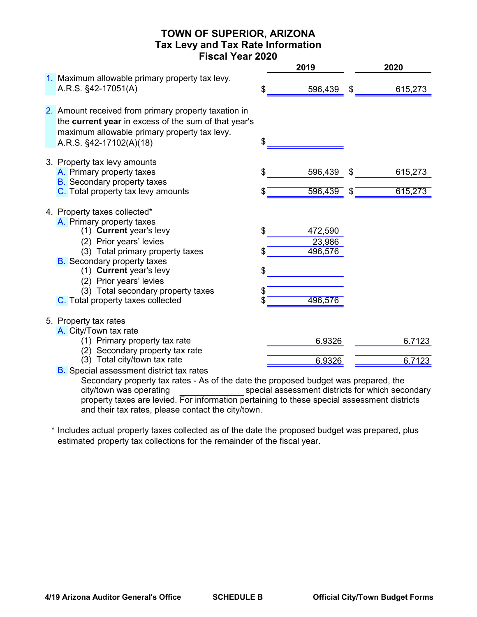### TOWN OF SUPERIOR, ARIZONA Tax Levy and Tax Rate Information Fiscal Year 2020

|                                                                                                                                                                                                                                                                                                                            |                            | 2019                                    |         | 2020               |
|----------------------------------------------------------------------------------------------------------------------------------------------------------------------------------------------------------------------------------------------------------------------------------------------------------------------------|----------------------------|-----------------------------------------|---------|--------------------|
| 1. Maximum allowable primary property tax levy.<br>A.R.S. §42-17051(A)                                                                                                                                                                                                                                                     | \$                         | 596,439                                 | \$      | 615,273            |
| 2. Amount received from primary property taxation in<br>the current year in excess of the sum of that year's<br>maximum allowable primary property tax levy.<br>A.R.S. §42-17102(A)(18)                                                                                                                                    | \$                         |                                         |         |                    |
| 3. Property tax levy amounts<br>A. Primary property taxes<br><b>B.</b> Secondary property taxes<br>C. Total property tax levy amounts                                                                                                                                                                                      | \$<br>\$                   | 596,439<br>596,439                      | \$<br>S | 615,273<br>615,273 |
| 4. Property taxes collected*<br>A. Primary property taxes<br>(1) Current year's levy<br>(2) Prior years' levies<br>(3) Total primary property taxes<br><b>B.</b> Secondary property taxes<br>(1) Current year's levy<br>(2) Prior years' levies<br>(3) Total secondary property taxes<br>C. Total property taxes collected | \$<br>\$<br>\$<br>\$<br>\$ | 472,590<br>23,986<br>496,576<br>496,576 |         |                    |
| 5. Property tax rates<br>A. City/Town tax rate<br>(1) Primary property tax rate<br>(2) Secondary property tax rate                                                                                                                                                                                                         |                            | 6.9326                                  |         | 6.7123             |
| (3) Total city/town tax rate<br><b>B.</b> Special assessment district tax rates                                                                                                                                                                                                                                            |                            | 6.9326                                  |         | 6.7123             |

Secondary property tax rates - As of the date the proposed budget was prepared, the special assessment districts for which secondary property taxes are levied. For information pertaining to these special assessment districts and their tax rates, please contact the city/town. city/town was operating

\* Includes actual property taxes collected as of the date the proposed budget was prepared, plus estimated property tax collections for the remainder of the fiscal year.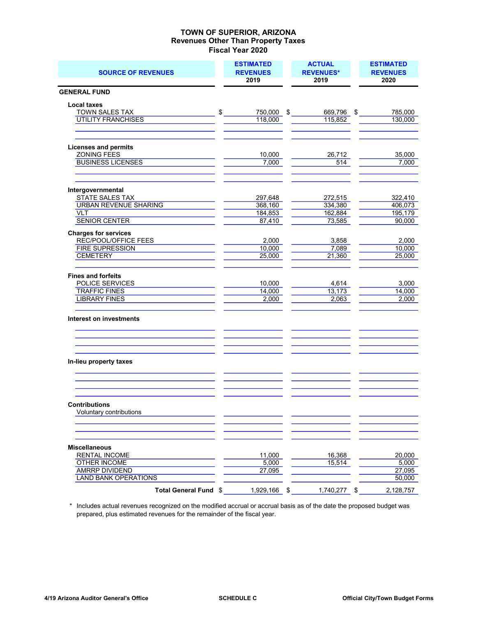| <b>SOURCE OF REVENUES</b>                           |        | <b>ESTIMATED</b><br><b>REVENUES</b><br>2019 |     | <b>ACTUAL</b><br><b>REVENUES*</b><br>2019 | <b>ESTIMATED</b><br><b>REVENUES</b><br>2020 |
|-----------------------------------------------------|--------|---------------------------------------------|-----|-------------------------------------------|---------------------------------------------|
| <b>GENERAL FUND</b>                                 |        |                                             |     |                                           |                                             |
| <b>Local taxes</b>                                  |        |                                             |     |                                           |                                             |
| TOWN SALES TAX                                      | $\sim$ | 750,000 \$                                  |     | 669,796 \$                                | 785,000                                     |
| <b>UTILITY FRANCHISES</b>                           |        | 118,000                                     |     | 115,852                                   | 130,000                                     |
| <b>Licenses and permits</b>                         |        |                                             |     |                                           |                                             |
| <b>ZONING FEES</b>                                  |        | 10,000                                      |     | 26,712                                    | 35.000                                      |
| <b>BUSINESS LICENSES</b>                            |        | 7,000                                       |     | 514                                       | 7,000                                       |
|                                                     |        |                                             |     |                                           |                                             |
| Intergovernmental<br>STATE SALES TAX                |        | 297,648                                     |     | 272,515                                   | 322,410                                     |
| <b>URBAN REVENUE SHARING</b>                        |        | 368,160                                     |     | 334,380                                   | 406,073                                     |
| <b>VLT</b>                                          |        | 184,853                                     |     | 162,884                                   | 195,179                                     |
| <b>SENIOR CENTER</b>                                |        | 87,410                                      |     | 73,585                                    | 90,000                                      |
| <b>Charges for services</b><br>REC/POOL/OFFICE FEES |        | 2.000                                       |     | 3.858                                     | 2,000                                       |
| <b>FIRE SUPRESSION</b>                              |        | 10,000                                      |     | 7,089                                     | 10,000                                      |
| CEMETERY                                            |        | 25,000                                      |     | 21,360                                    | 25,000                                      |
| <b>Fines and forfeits</b>                           |        |                                             |     |                                           |                                             |
| POLICE SERVICES                                     |        | 10,000                                      |     | 4,614                                     | 3,000                                       |
| <b>TRAFFIC FINES</b>                                |        | 14,000                                      |     | 13,173                                    | 14,000                                      |
| <b>LIBRARY FINES</b>                                |        | 2,000                                       |     | 2,063                                     | 2,000                                       |
| Interest on investments                             |        |                                             |     |                                           |                                             |
| In-lieu property taxes                              |        |                                             |     |                                           |                                             |
|                                                     |        |                                             |     |                                           |                                             |
| <b>Contributions</b>                                |        |                                             |     |                                           |                                             |
| Voluntary contributions                             |        |                                             |     |                                           |                                             |
| <b>Miscellaneous</b>                                |        |                                             |     |                                           |                                             |
| <b>RENTAL INCOME</b>                                |        | 11,000                                      |     | 16,368                                    | 20,000                                      |
| <b>OTHER INCOME</b>                                 |        | 5,000                                       |     | 15,514                                    | 5,000                                       |
| AMRRP DIVIDEND                                      |        | 27,095                                      |     |                                           | 27,095                                      |
| <b>LAND BANK OPERATIONS</b>                         |        |                                             |     |                                           | 50,000                                      |
| Total General Fund \$                               |        | 1,929,166                                   | -\$ | 1,740,277                                 | \$<br>2,128,757                             |

 \* Includes actual revenues recognized on the modified accrual or accrual basis as of the date the proposed budget was prepared, plus estimated revenues for the remainder of the fiscal year.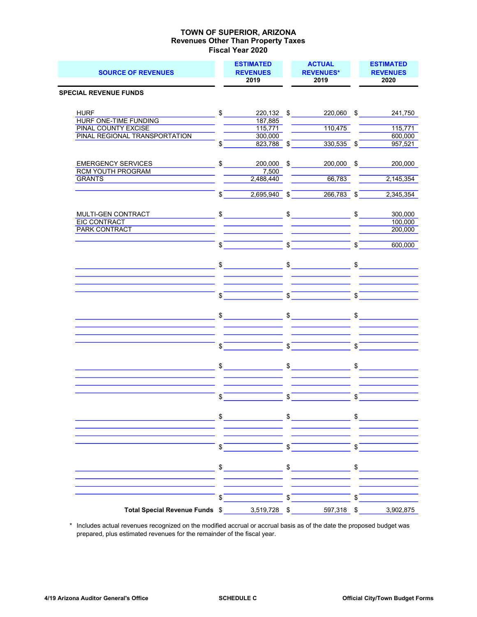| <b>SOURCE OF REVENUES</b>                               |               | <b>ESTIMATED</b><br><b>REVENUES</b><br>2019 |            | <b>ACTUAL</b><br><b>REVENUES*</b><br>2019                                                                                                                                                                                                                                                                           |            | <b>ESTIMATED</b><br><b>REVENUES</b><br>2020 |
|---------------------------------------------------------|---------------|---------------------------------------------|------------|---------------------------------------------------------------------------------------------------------------------------------------------------------------------------------------------------------------------------------------------------------------------------------------------------------------------|------------|---------------------------------------------|
| <b>SPECIAL REVENUE FUNDS</b>                            |               |                                             |            |                                                                                                                                                                                                                                                                                                                     |            |                                             |
|                                                         |               |                                             |            |                                                                                                                                                                                                                                                                                                                     |            |                                             |
| <b>HURF</b>                                             | \$            | 220,132 \$                                  |            | 220,060 \$                                                                                                                                                                                                                                                                                                          |            | 241.750                                     |
| HURF ONE-TIME FUNDING                                   |               | 187,885                                     |            |                                                                                                                                                                                                                                                                                                                     |            |                                             |
| <b>PINAL COUNTY EXCISE</b>                              |               | 115,771                                     |            | 110,475                                                                                                                                                                                                                                                                                                             |            | 115,771                                     |
| PINAL REGIONAL TRANSPORTATION                           | \$            | 300,000<br>823,788 \$                       |            | $330,535$ \$                                                                                                                                                                                                                                                                                                        |            | 600,000<br>957,521                          |
|                                                         |               |                                             |            |                                                                                                                                                                                                                                                                                                                     |            |                                             |
|                                                         |               |                                             |            |                                                                                                                                                                                                                                                                                                                     |            |                                             |
| <b>EMERGENCY SERVICES</b><br><b>RCM YOUTH PROGRAM</b>   | \$            | 200,000 \$<br>7,500                         |            | 200,000 \$                                                                                                                                                                                                                                                                                                          |            | 200,000                                     |
| <b>GRANTS</b>                                           |               | 2,488,440                                   |            | 66,783                                                                                                                                                                                                                                                                                                              |            | 2,145,354                                   |
|                                                         |               |                                             |            |                                                                                                                                                                                                                                                                                                                     |            |                                             |
|                                                         | \$            | $2,695,940$ \$                              |            | $266,783$ \$                                                                                                                                                                                                                                                                                                        |            | 2,345,354                                   |
|                                                         |               |                                             |            |                                                                                                                                                                                                                                                                                                                     |            |                                             |
| MULTI-GEN CONTRACT MULTI-GEN                            |               | $\sim$                                      |            | $\frac{1}{2}$                                                                                                                                                                                                                                                                                                       |            | $\frac{1}{2}$<br>300,000                    |
| <b>EIC CONTRACT</b><br><b>PARK CONTRACT</b>             |               |                                             |            |                                                                                                                                                                                                                                                                                                                     |            | 100,000<br>200,000                          |
|                                                         |               |                                             |            |                                                                                                                                                                                                                                                                                                                     |            |                                             |
|                                                         | \$            |                                             | \$         |                                                                                                                                                                                                                                                                                                                     | \$         | 600,000                                     |
|                                                         |               |                                             |            |                                                                                                                                                                                                                                                                                                                     |            |                                             |
|                                                         |               | $\sim$                                      |            | $\sim$                                                                                                                                                                                                                                                                                                              | \$         |                                             |
|                                                         |               |                                             |            |                                                                                                                                                                                                                                                                                                                     |            |                                             |
|                                                         |               |                                             |            |                                                                                                                                                                                                                                                                                                                     |            |                                             |
|                                                         | \$            |                                             | \$         |                                                                                                                                                                                                                                                                                                                     | \$         |                                             |
|                                                         |               |                                             |            |                                                                                                                                                                                                                                                                                                                     |            |                                             |
|                                                         |               | $\frac{1}{2}$                               |            | $\frac{1}{\sqrt{2}}$                                                                                                                                                                                                                                                                                                |            | $\frac{1}{2}$                               |
|                                                         |               |                                             |            |                                                                                                                                                                                                                                                                                                                     |            |                                             |
|                                                         |               |                                             |            |                                                                                                                                                                                                                                                                                                                     |            |                                             |
|                                                         | \$            |                                             | \$         |                                                                                                                                                                                                                                                                                                                     | \$         |                                             |
|                                                         |               |                                             |            |                                                                                                                                                                                                                                                                                                                     |            |                                             |
|                                                         |               |                                             |            |                                                                                                                                                                                                                                                                                                                     |            |                                             |
|                                                         |               | $\mathbb{S}$                                | \$         |                                                                                                                                                                                                                                                                                                                     |            | $\frac{1}{2}$                               |
|                                                         |               |                                             |            |                                                                                                                                                                                                                                                                                                                     |            |                                             |
|                                                         |               |                                             |            |                                                                                                                                                                                                                                                                                                                     |            |                                             |
|                                                         | \$            |                                             | \$         |                                                                                                                                                                                                                                                                                                                     | \$         |                                             |
|                                                         |               |                                             |            |                                                                                                                                                                                                                                                                                                                     |            |                                             |
| <u> 1989 - Johann Barn, mars ann an t-Amhain an t-A</u> |               |                                             |            | $\frac{1}{2}$ $\frac{1}{2}$ $\frac{1}{2}$ $\frac{1}{2}$ $\frac{1}{2}$ $\frac{1}{2}$ $\frac{1}{2}$ $\frac{1}{2}$ $\frac{1}{2}$ $\frac{1}{2}$ $\frac{1}{2}$ $\frac{1}{2}$ $\frac{1}{2}$ $\frac{1}{2}$ $\frac{1}{2}$ $\frac{1}{2}$ $\frac{1}{2}$ $\frac{1}{2}$ $\frac{1}{2}$ $\frac{1}{2}$ $\frac{1}{2}$ $\frac{1}{2}$ |            |                                             |
|                                                         |               |                                             |            |                                                                                                                                                                                                                                                                                                                     |            |                                             |
|                                                         |               |                                             |            |                                                                                                                                                                                                                                                                                                                     |            |                                             |
|                                                         | $\frac{1}{2}$ |                                             | $\sqrt{s}$ |                                                                                                                                                                                                                                                                                                                     | $\sqrt{s}$ |                                             |
|                                                         |               |                                             |            |                                                                                                                                                                                                                                                                                                                     |            |                                             |
|                                                         |               |                                             |            |                                                                                                                                                                                                                                                                                                                     |            |                                             |
|                                                         |               |                                             |            |                                                                                                                                                                                                                                                                                                                     |            |                                             |
|                                                         |               |                                             |            |                                                                                                                                                                                                                                                                                                                     |            |                                             |
|                                                         | $\sqrt{s}$    |                                             |            | $\sqrt{2}$                                                                                                                                                                                                                                                                                                          | $\sqrt{s}$ |                                             |
| Total Special Revenue Funds \$ 3,519,728 \$ 597,318 \$  |               |                                             |            |                                                                                                                                                                                                                                                                                                                     |            | 3,902,875                                   |
|                                                         |               |                                             |            |                                                                                                                                                                                                                                                                                                                     |            |                                             |

 \* Includes actual revenues recognized on the modified accrual or accrual basis as of the date the proposed budget was prepared, plus estimated revenues for the remainder of the fiscal year.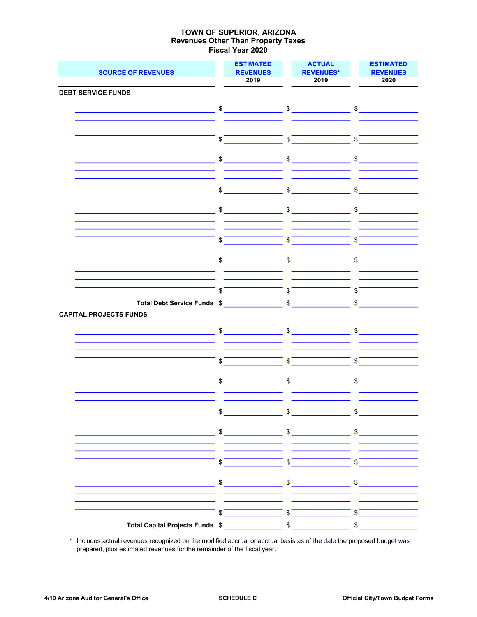| <b>SOURCE OF REVENUES</b>     |              | <b>ESTIMATED</b><br><b>REVENUES</b><br>2019 |                | <b>ACTUAL</b><br><b>REVENUES*</b><br>2019                                                                                                                                                                                                                                                                                                                                                                                       |               | <b>ESTIMATED</b><br><b>REVENUES</b><br>2020 |
|-------------------------------|--------------|---------------------------------------------|----------------|---------------------------------------------------------------------------------------------------------------------------------------------------------------------------------------------------------------------------------------------------------------------------------------------------------------------------------------------------------------------------------------------------------------------------------|---------------|---------------------------------------------|
| <b>DEBT SERVICE FUNDS</b>     |              |                                             |                |                                                                                                                                                                                                                                                                                                                                                                                                                                 |               |                                             |
|                               |              |                                             |                |                                                                                                                                                                                                                                                                                                                                                                                                                                 |               |                                             |
|                               |              | $\mathfrak{S}$                              |                | $\mathfrak s$                                                                                                                                                                                                                                                                                                                                                                                                                   |               | $\sim$                                      |
|                               |              |                                             |                |                                                                                                                                                                                                                                                                                                                                                                                                                                 |               |                                             |
|                               |              |                                             |                | $\int$                                                                                                                                                                                                                                                                                                                                                                                                                          |               | $\int$                                      |
|                               |              |                                             |                |                                                                                                                                                                                                                                                                                                                                                                                                                                 |               |                                             |
|                               |              | $\sim$                                      |                | $\frac{1}{\sqrt{2}}$                                                                                                                                                                                                                                                                                                                                                                                                            |               | $\frac{1}{\sqrt{2}}$                        |
|                               |              |                                             |                |                                                                                                                                                                                                                                                                                                                                                                                                                                 |               |                                             |
|                               |              |                                             |                |                                                                                                                                                                                                                                                                                                                                                                                                                                 |               |                                             |
|                               | \$           |                                             | \$             |                                                                                                                                                                                                                                                                                                                                                                                                                                 | $\mathsf{\$}$ |                                             |
|                               |              |                                             |                |                                                                                                                                                                                                                                                                                                                                                                                                                                 |               |                                             |
|                               |              | $\frac{1}{2}$                               |                | $\frac{1}{2}$                                                                                                                                                                                                                                                                                                                                                                                                                   |               | $\frac{1}{2}$                               |
|                               |              |                                             |                |                                                                                                                                                                                                                                                                                                                                                                                                                                 |               |                                             |
|                               |              |                                             |                |                                                                                                                                                                                                                                                                                                                                                                                                                                 |               |                                             |
|                               | $\sqrt[6]{}$ |                                             |                | $\overline{\text{S}}$                                                                                                                                                                                                                                                                                                                                                                                                           |               | $\sqrt{2}$                                  |
|                               |              |                                             |                |                                                                                                                                                                                                                                                                                                                                                                                                                                 |               |                                             |
|                               |              | $\frac{1}{2}$                               |                | $\qquad \qquad \bullet$                                                                                                                                                                                                                                                                                                                                                                                                         |               | $\frac{1}{2}$                               |
|                               |              |                                             |                |                                                                                                                                                                                                                                                                                                                                                                                                                                 |               |                                             |
|                               |              |                                             |                |                                                                                                                                                                                                                                                                                                                                                                                                                                 |               |                                             |
|                               | \$           |                                             | $\mathfrak s$  |                                                                                                                                                                                                                                                                                                                                                                                                                                 | \$            |                                             |
| Total Debt Service Funds \$   |              |                                             |                | $\sim$                                                                                                                                                                                                                                                                                                                                                                                                                          | \$            |                                             |
| <b>CAPITAL PROJECTS FUNDS</b> |              |                                             |                |                                                                                                                                                                                                                                                                                                                                                                                                                                 |               |                                             |
|                               |              | $\sim$                                      |                | $\frac{1}{2}$                                                                                                                                                                                                                                                                                                                                                                                                                   |               | $\mathfrak s$                               |
|                               |              |                                             |                |                                                                                                                                                                                                                                                                                                                                                                                                                                 |               |                                             |
|                               |              |                                             |                |                                                                                                                                                                                                                                                                                                                                                                                                                                 |               |                                             |
|                               | \$           |                                             | $$\mathbb{S}$$ |                                                                                                                                                                                                                                                                                                                                                                                                                                 | \$            |                                             |
|                               |              |                                             |                |                                                                                                                                                                                                                                                                                                                                                                                                                                 |               |                                             |
|                               |              | $\frac{1}{2}$                               |                | $\frac{1}{\sqrt{1-\frac{1}{2}}}\frac{1}{\sqrt{1-\frac{1}{2}}}\frac{1}{\sqrt{1-\frac{1}{2}}}\frac{1}{\sqrt{1-\frac{1}{2}}}\frac{1}{\sqrt{1-\frac{1}{2}}}\frac{1}{\sqrt{1-\frac{1}{2}}}\frac{1}{\sqrt{1-\frac{1}{2}}}\frac{1}{\sqrt{1-\frac{1}{2}}}\frac{1}{\sqrt{1-\frac{1}{2}}}\frac{1}{\sqrt{1-\frac{1}{2}}}\frac{1}{\sqrt{1-\frac{1}{2}}}\frac{1}{\sqrt{1-\frac{1}{2}}}\frac{1}{\sqrt{1-\frac{1}{2}}}\frac{1}{\sqrt{1-\frac{$ |               | $\frac{1}{2}$                               |
|                               |              |                                             |                |                                                                                                                                                                                                                                                                                                                                                                                                                                 |               |                                             |
|                               |              |                                             |                |                                                                                                                                                                                                                                                                                                                                                                                                                                 |               |                                             |
|                               | \$           |                                             | $\frac{1}{2}$  |                                                                                                                                                                                                                                                                                                                                                                                                                                 | \$            |                                             |
|                               |              |                                             |                |                                                                                                                                                                                                                                                                                                                                                                                                                                 |               |                                             |
|                               |              |                                             |                |                                                                                                                                                                                                                                                                                                                                                                                                                                 |               |                                             |
|                               |              |                                             |                |                                                                                                                                                                                                                                                                                                                                                                                                                                 |               |                                             |
|                               |              |                                             |                |                                                                                                                                                                                                                                                                                                                                                                                                                                 |               |                                             |
|                               |              | $\frac{1}{\sqrt{2}}$                        |                | $\overline{\phantom{a}}$ \$ $\overline{\phantom{a}}$                                                                                                                                                                                                                                                                                                                                                                            |               |                                             |
|                               |              |                                             |                |                                                                                                                                                                                                                                                                                                                                                                                                                                 |               |                                             |
|                               |              | $\frac{1}{2}$                               |                | $\begin{picture}(20,10) \put(0,0){\vector(1,0){100}} \put(15,0){\vector(1,0){100}} \put(15,0){\vector(1,0){100}} \put(15,0){\vector(1,0){100}} \put(15,0){\vector(1,0){100}} \put(15,0){\vector(1,0){100}} \put(15,0){\vector(1,0){100}} \put(15,0){\vector(1,0){100}} \put(15,0){\vector(1,0){100}} \put(15,0){\vector(1,0){100}} \put(15,0){\vector(1,0){100}} \$                                                             |               | $\frac{1}{2}$                               |
|                               |              |                                             |                |                                                                                                                                                                                                                                                                                                                                                                                                                                 |               |                                             |
|                               |              |                                             |                |                                                                                                                                                                                                                                                                                                                                                                                                                                 |               |                                             |
|                               |              |                                             |                |                                                                                                                                                                                                                                                                                                                                                                                                                                 |               |                                             |
|                               |              |                                             |                |                                                                                                                                                                                                                                                                                                                                                                                                                                 |               | $\frac{1}{2}$                               |

 \* Includes actual revenues recognized on the modified accrual or accrual basis as of the date the proposed budget was prepared, plus estimated revenues for the remainder of the fiscal year.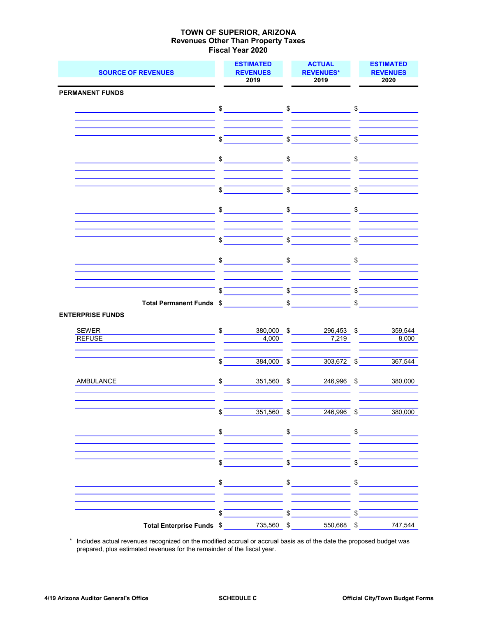| <b>SOURCE OF REVENUES</b>                                                                                             | <b>ESTIMATED</b><br><b>REVENUES</b><br>2019 |                                                                                                                                                                                                                                                                                                                                                                     |                    | <b>ACTUAL</b><br><b>REVENUES*</b><br>2019                                                                                                                                                                                                                                                                                                                                                                                                              | <b>ESTIMATED</b><br><b>REVENUES</b><br>2020 |               |  |
|-----------------------------------------------------------------------------------------------------------------------|---------------------------------------------|---------------------------------------------------------------------------------------------------------------------------------------------------------------------------------------------------------------------------------------------------------------------------------------------------------------------------------------------------------------------|--------------------|--------------------------------------------------------------------------------------------------------------------------------------------------------------------------------------------------------------------------------------------------------------------------------------------------------------------------------------------------------------------------------------------------------------------------------------------------------|---------------------------------------------|---------------|--|
| <b>PERMANENT FUNDS</b>                                                                                                |                                             |                                                                                                                                                                                                                                                                                                                                                                     |                    |                                                                                                                                                                                                                                                                                                                                                                                                                                                        |                                             |               |  |
|                                                                                                                       |                                             |                                                                                                                                                                                                                                                                                                                                                                     |                    |                                                                                                                                                                                                                                                                                                                                                                                                                                                        |                                             |               |  |
|                                                                                                                       |                                             |                                                                                                                                                                                                                                                                                                                                                                     |                    |                                                                                                                                                                                                                                                                                                                                                                                                                                                        |                                             |               |  |
|                                                                                                                       |                                             |                                                                                                                                                                                                                                                                                                                                                                     |                    |                                                                                                                                                                                                                                                                                                                                                                                                                                                        |                                             |               |  |
|                                                                                                                       | $\mathfrak{s}$                              |                                                                                                                                                                                                                                                                                                                                                                     |                    | $\int$                                                                                                                                                                                                                                                                                                                                                                                                                                                 | \$                                          |               |  |
|                                                                                                                       |                                             |                                                                                                                                                                                                                                                                                                                                                                     |                    |                                                                                                                                                                                                                                                                                                                                                                                                                                                        |                                             |               |  |
|                                                                                                                       |                                             | $\frac{1}{2}$                                                                                                                                                                                                                                                                                                                                                       |                    | $\sim$ $\sim$ $\sim$ $\sim$ $\sim$ $\sim$                                                                                                                                                                                                                                                                                                                                                                                                              |                                             |               |  |
|                                                                                                                       |                                             |                                                                                                                                                                                                                                                                                                                                                                     |                    |                                                                                                                                                                                                                                                                                                                                                                                                                                                        |                                             |               |  |
|                                                                                                                       | $\boldsymbol{\mathsf{S}}$                   |                                                                                                                                                                                                                                                                                                                                                                     | $\sqrt{2}$         |                                                                                                                                                                                                                                                                                                                                                                                                                                                        | $\sqrt{s}$                                  |               |  |
|                                                                                                                       |                                             |                                                                                                                                                                                                                                                                                                                                                                     |                    |                                                                                                                                                                                                                                                                                                                                                                                                                                                        |                                             |               |  |
| <u> 1989 - Johann Barn, fransk politik (</u>                                                                          |                                             | $\begin{picture}(20,20) \put(0,0){\vector(1,0){100}} \put(15,0){\vector(1,0){100}} \put(15,0){\vector(1,0){100}} \put(15,0){\vector(1,0){100}} \put(15,0){\vector(1,0){100}} \put(15,0){\vector(1,0){100}} \put(15,0){\vector(1,0){100}} \put(15,0){\vector(1,0){100}} \put(15,0){\vector(1,0){100}} \put(15,0){\vector(1,0){100}} \put(15,0){\vector(1,0){100}} \$ |                    | $\begin{picture}(20,20) \put(0,0){\vector(1,0){100}} \put(15,0){\vector(1,0){100}} \put(15,0){\vector(1,0){100}} \put(15,0){\vector(1,0){100}} \put(15,0){\vector(1,0){100}} \put(15,0){\vector(1,0){100}} \put(15,0){\vector(1,0){100}} \put(15,0){\vector(1,0){100}} \put(15,0){\vector(1,0){100}} \put(15,0){\vector(1,0){100}} \put(15,0){\vector(1,0){100}} \$                                                                                    |                                             | $\frac{1}{2}$ |  |
|                                                                                                                       |                                             |                                                                                                                                                                                                                                                                                                                                                                     |                    |                                                                                                                                                                                                                                                                                                                                                                                                                                                        |                                             |               |  |
|                                                                                                                       | \$                                          |                                                                                                                                                                                                                                                                                                                                                                     | $\mathbf{\hat{s}}$ |                                                                                                                                                                                                                                                                                                                                                                                                                                                        | \$                                          |               |  |
|                                                                                                                       |                                             |                                                                                                                                                                                                                                                                                                                                                                     |                    |                                                                                                                                                                                                                                                                                                                                                                                                                                                        |                                             |               |  |
|                                                                                                                       |                                             |                                                                                                                                                                                                                                                                                                                                                                     |                    |                                                                                                                                                                                                                                                                                                                                                                                                                                                        |                                             | $\frac{1}{2}$ |  |
|                                                                                                                       |                                             |                                                                                                                                                                                                                                                                                                                                                                     |                    |                                                                                                                                                                                                                                                                                                                                                                                                                                                        |                                             |               |  |
|                                                                                                                       |                                             |                                                                                                                                                                                                                                                                                                                                                                     |                    |                                                                                                                                                                                                                                                                                                                                                                                                                                                        |                                             | $\int$        |  |
| Total Permanent Funds \$                                                                                              |                                             |                                                                                                                                                                                                                                                                                                                                                                     |                    |                                                                                                                                                                                                                                                                                                                                                                                                                                                        |                                             | $\sim$        |  |
| <b>ENTERPRISE FUNDS</b>                                                                                               |                                             |                                                                                                                                                                                                                                                                                                                                                                     |                    |                                                                                                                                                                                                                                                                                                                                                                                                                                                        |                                             |               |  |
| <u> 1980 - Johann Barnett, fransk politiker (</u><br>SEWER                                                            |                                             | $\frac{1}{2}$<br>380,000 \$                                                                                                                                                                                                                                                                                                                                         |                    | 296,453 \$                                                                                                                                                                                                                                                                                                                                                                                                                                             |                                             | 359,544       |  |
| <b>REFUSE</b>                                                                                                         |                                             | 4,000                                                                                                                                                                                                                                                                                                                                                               |                    | 7,219                                                                                                                                                                                                                                                                                                                                                                                                                                                  |                                             | 8,000         |  |
|                                                                                                                       |                                             |                                                                                                                                                                                                                                                                                                                                                                     |                    |                                                                                                                                                                                                                                                                                                                                                                                                                                                        |                                             |               |  |
|                                                                                                                       | \$                                          | $384,000$ \$                                                                                                                                                                                                                                                                                                                                                        |                    | $303,672$ \$                                                                                                                                                                                                                                                                                                                                                                                                                                           |                                             | 367,544       |  |
|                                                                                                                       |                                             |                                                                                                                                                                                                                                                                                                                                                                     |                    |                                                                                                                                                                                                                                                                                                                                                                                                                                                        |                                             |               |  |
| AMBULANCE                                                                                                             |                                             | $$\overbrace{\hspace{2.5cm}}$<br>$351,560$ \$                                                                                                                                                                                                                                                                                                                       |                    | 246,996 \$                                                                                                                                                                                                                                                                                                                                                                                                                                             |                                             | 380,000       |  |
|                                                                                                                       |                                             |                                                                                                                                                                                                                                                                                                                                                                     |                    |                                                                                                                                                                                                                                                                                                                                                                                                                                                        |                                             |               |  |
|                                                                                                                       | \$                                          | $351,560$ \$                                                                                                                                                                                                                                                                                                                                                        |                    | 246,996                                                                                                                                                                                                                                                                                                                                                                                                                                                | \$                                          | 380,000       |  |
|                                                                                                                       |                                             |                                                                                                                                                                                                                                                                                                                                                                     |                    |                                                                                                                                                                                                                                                                                                                                                                                                                                                        |                                             |               |  |
|                                                                                                                       | \$                                          |                                                                                                                                                                                                                                                                                                                                                                     | \$                 | $\label{eq:2.1} \frac{1}{\sqrt{2}}\left(\frac{1}{\sqrt{2}}\right)^{2} \left(\frac{1}{\sqrt{2}}\right)^{2} \left(\frac{1}{\sqrt{2}}\right)^{2} \left(\frac{1}{\sqrt{2}}\right)^{2} \left(\frac{1}{\sqrt{2}}\right)^{2} \left(\frac{1}{\sqrt{2}}\right)^{2} \left(\frac{1}{\sqrt{2}}\right)^{2} \left(\frac{1}{\sqrt{2}}\right)^{2} \left(\frac{1}{\sqrt{2}}\right)^{2} \left(\frac{1}{\sqrt{2}}\right)^{2} \left(\frac{1}{\sqrt{2}}\right)^{2} \left(\$ | \$                                          |               |  |
|                                                                                                                       |                                             |                                                                                                                                                                                                                                                                                                                                                                     |                    |                                                                                                                                                                                                                                                                                                                                                                                                                                                        |                                             |               |  |
|                                                                                                                       | $\frac{1}{2}$                               |                                                                                                                                                                                                                                                                                                                                                                     | $\frac{1}{2}$      |                                                                                                                                                                                                                                                                                                                                                                                                                                                        | $\mathfrak{s}^-$                            |               |  |
|                                                                                                                       |                                             |                                                                                                                                                                                                                                                                                                                                                                     |                    |                                                                                                                                                                                                                                                                                                                                                                                                                                                        |                                             |               |  |
| <u> 1980 - Johann Barn, mars ann an t-Amhain an t-Amhain an t-Amhain an t-Amhain an t-Amhain an t-Amhain an t-Amh</u> |                                             | $\frac{1}{2}$                                                                                                                                                                                                                                                                                                                                                       |                    | $\frac{1}{2}$                                                                                                                                                                                                                                                                                                                                                                                                                                          |                                             | $\sim$        |  |
|                                                                                                                       |                                             |                                                                                                                                                                                                                                                                                                                                                                     |                    |                                                                                                                                                                                                                                                                                                                                                                                                                                                        |                                             |               |  |
|                                                                                                                       | \$                                          |                                                                                                                                                                                                                                                                                                                                                                     | $\sqrt{2}$         |                                                                                                                                                                                                                                                                                                                                                                                                                                                        | \$                                          |               |  |
| Total Enterprise Funds \$735,560 \$                                                                                   |                                             |                                                                                                                                                                                                                                                                                                                                                                     |                    | 550,668 \$                                                                                                                                                                                                                                                                                                                                                                                                                                             |                                             | 747,544       |  |

 \* Includes actual revenues recognized on the modified accrual or accrual basis as of the date the proposed budget was prepared, plus estimated revenues for the remainder of the fiscal year.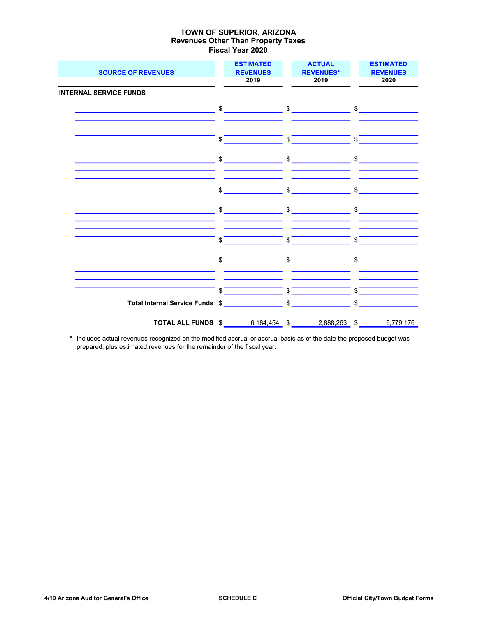| <b>SOURCE OF REVENUES</b>       | <b>ESTIMATED</b><br><b>REVENUES</b><br>2019                                                                                                                                                                                                                                                                                                                         | <b>ACTUAL</b><br><b>REVENUES*</b><br>2019                                                                                                                                                                                                                                                                                                                                                                                                                       | <b>ESTIMATED</b><br><b>REVENUES</b><br>2020 |
|---------------------------------|---------------------------------------------------------------------------------------------------------------------------------------------------------------------------------------------------------------------------------------------------------------------------------------------------------------------------------------------------------------------|-----------------------------------------------------------------------------------------------------------------------------------------------------------------------------------------------------------------------------------------------------------------------------------------------------------------------------------------------------------------------------------------------------------------------------------------------------------------|---------------------------------------------|
| <b>INTERNAL SERVICE FUNDS</b>   |                                                                                                                                                                                                                                                                                                                                                                     |                                                                                                                                                                                                                                                                                                                                                                                                                                                                 |                                             |
|                                 |                                                                                                                                                                                                                                                                                                                                                                     |                                                                                                                                                                                                                                                                                                                                                                                                                                                                 |                                             |
|                                 | \$                                                                                                                                                                                                                                                                                                                                                                  | $\overline{\text{s}}$                                                                                                                                                                                                                                                                                                                                                                                                                                           | \$                                          |
|                                 |                                                                                                                                                                                                                                                                                                                                                                     | $\begin{array}{ccc}\n\text{\$} & \text{\$} & \text{\$} & \text{\$} & \text{\$} & \text{\$} & \text{\$} & \text{\$} & \text{\$} & \text{\$} & \text{\$} & \text{\$} & \text{\$} & \text{\$} & \text{\$} & \text{\$} & \text{\$} & \text{\$} & \text{\$} & \text{\$} & \text{\$} & \text{\$} & \text{\$} & \text{\$} & \text{\$} & \text{\$} & \text{\$} & \text{\$} & \text{\$} & \text{\$} & \text{\$} & \text{\$} & \text{\$} & \text{\$} & \text{\$} & \text$ |                                             |
|                                 | \$                                                                                                                                                                                                                                                                                                                                                                  | $\overline{\text{S}}$                                                                                                                                                                                                                                                                                                                                                                                                                                           | \$                                          |
|                                 | $\begin{picture}(20,10) \put(0,0){\vector(1,0){100}} \put(15,0){\vector(1,0){100}} \put(15,0){\vector(1,0){100}} \put(15,0){\vector(1,0){100}} \put(15,0){\vector(1,0){100}} \put(15,0){\vector(1,0){100}} \put(15,0){\vector(1,0){100}} \put(15,0){\vector(1,0){100}} \put(15,0){\vector(1,0){100}} \put(15,0){\vector(1,0){100}} \put(15,0){\vector(1,0){100}} \$ | $\frac{1}{2}$                                                                                                                                                                                                                                                                                                                                                                                                                                                   | $\frac{1}{2}$                               |
|                                 | $\mathbb{S}$                                                                                                                                                                                                                                                                                                                                                        | $\sqrt[6]{ }$                                                                                                                                                                                                                                                                                                                                                                                                                                                   | $\mathsf{S}$                                |
|                                 |                                                                                                                                                                                                                                                                                                                                                                     | $\begin{array}{ccc}\n\text{\$} & \text{\$} & \text{\$} & \text{\$} & \text{\$} & \text{\$} & \text{\$} & \text{\$} & \text{\$} & \text{\$} & \text{\$} & \text{\$} & \text{\$} & \text{\$} & \text{\$} & \text{\$} & \text{\$} & \text{\$} & \text{\$} & \text{\$} & \text{\$} & \text{\$} & \text{\$} & \text{\$} & \text{\$} & \text{\$} & \text{\$} & \text{\$} & \text{\$} & \text{\$} & \text{\$} & \text{\$} & \text{\$} & \text{\$} & \text{\$} & \text$ |                                             |
|                                 | $\sqrt{s}$                                                                                                                                                                                                                                                                                                                                                          | $\frac{1}{\sqrt{1-\frac{1}{2}}}$                                                                                                                                                                                                                                                                                                                                                                                                                                | $\sqrt{s}$                                  |
| Total Internal Service Funds \$ |                                                                                                                                                                                                                                                                                                                                                                     |                                                                                                                                                                                                                                                                                                                                                                                                                                                                 | $$\overbrace{\hspace{2.5cm}}$               |
|                                 |                                                                                                                                                                                                                                                                                                                                                                     | TOTAL ALL FUNDS \$ 6,184,454 \$ 2,888,263 \$ 6,779,176                                                                                                                                                                                                                                                                                                                                                                                                          |                                             |

 \* Includes actual revenues recognized on the modified accrual or accrual basis as of the date the proposed budget was prepared, plus estimated revenues for the remainder of the fiscal year.

 $\overline{\phantom{0}}$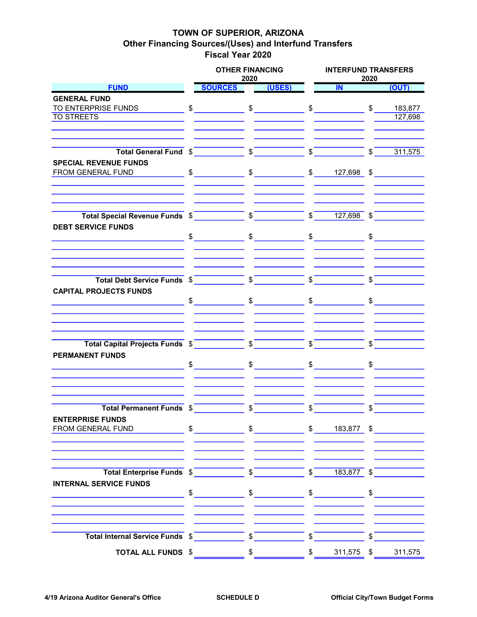### TOWN OF SUPERIOR, ARIZONA Other Financing Sources/(Uses) and Interfund Transfers Fiscal Year 2020

|                                                                                                                                                                                                                                                                                                                                                                                                       |               | <b>OTHER FINANCING</b>                                                                                                                                                                                                                                                                                                                                                                                                                                          | 2020                    |        |              | <b>INTERFUND TRANSFERS</b><br>2020 |               |                      |  |  |
|-------------------------------------------------------------------------------------------------------------------------------------------------------------------------------------------------------------------------------------------------------------------------------------------------------------------------------------------------------------------------------------------------------|---------------|-----------------------------------------------------------------------------------------------------------------------------------------------------------------------------------------------------------------------------------------------------------------------------------------------------------------------------------------------------------------------------------------------------------------------------------------------------------------|-------------------------|--------|--------------|------------------------------------|---------------|----------------------|--|--|
| <b>FUND</b>                                                                                                                                                                                                                                                                                                                                                                                           |               | <b>SOURCES</b>                                                                                                                                                                                                                                                                                                                                                                                                                                                  |                         | (USES) |              | IN                                 |               | (OUT)                |  |  |
| <b>GENERAL FUND</b>                                                                                                                                                                                                                                                                                                                                                                                   |               |                                                                                                                                                                                                                                                                                                                                                                                                                                                                 |                         |        |              |                                    |               |                      |  |  |
|                                                                                                                                                                                                                                                                                                                                                                                                       |               |                                                                                                                                                                                                                                                                                                                                                                                                                                                                 |                         |        |              |                                    |               |                      |  |  |
| <b>TO STREETS</b>                                                                                                                                                                                                                                                                                                                                                                                     |               |                                                                                                                                                                                                                                                                                                                                                                                                                                                                 |                         |        |              |                                    |               | 127,698              |  |  |
|                                                                                                                                                                                                                                                                                                                                                                                                       |               |                                                                                                                                                                                                                                                                                                                                                                                                                                                                 |                         |        |              |                                    |               |                      |  |  |
|                                                                                                                                                                                                                                                                                                                                                                                                       |               |                                                                                                                                                                                                                                                                                                                                                                                                                                                                 |                         |        |              |                                    |               |                      |  |  |
| Total General Fund $\sqrt[6]{\hspace{1cm} \sqrt[6]{\hspace{1cm}}}$ $\sqrt[6]{\hspace{1cm} \sqrt[6]{\hspace{1cm} \sqrt[6]{\hspace{1cm} \sqrt[6]{\hspace{1cm} \sqrt[6]{\hspace{1cm} \sqrt[6]{\hspace{1cm} \sqrt[6]{\hspace{1cm} \sqrt[6]{\hspace{1cm} \sqrt[6]{\hspace{1cm} \sqrt[6]{\hspace{1cm} \sqrt[6]{\hspace{1cm} \sqrt[6]{\hspace{1cm} \sqrt[6]{\hspace{1cm} \sqrt[6]{\hspace{1cm} \sqrt[6]{\hs$ |               |                                                                                                                                                                                                                                                                                                                                                                                                                                                                 |                         |        |              |                                    | $\frac{1}{2}$ | 311,575              |  |  |
|                                                                                                                                                                                                                                                                                                                                                                                                       |               |                                                                                                                                                                                                                                                                                                                                                                                                                                                                 |                         |        |              |                                    |               |                      |  |  |
| <b>SPECIAL REVENUE FUNDS</b><br>FROM GENERAL FUND                                                                                                                                                                                                                                                                                                                                                     |               | $\texttt{\$} \texttt{\$} \texttt{\$} \texttt{\$} \texttt{\$} \texttt{\$} \texttt{\$} \texttt{\$} \texttt{\$} \texttt{\$} \texttt{\$} \texttt{\$} \texttt{\$} \texttt{\$} \texttt{\$} \texttt{\$} \texttt{\$} \texttt{\$} \texttt{\$} \texttt{\$} \texttt{\$} \texttt{\$} \texttt{\$} \texttt{\$} \texttt{\$} \texttt{\$} \texttt{\$} \texttt{\$} \texttt{\$} \texttt{\$} \texttt{\$} \texttt{\$} \texttt{\$} \texttt{\$} \texttt{\$} \texttt{\$} \texttt{\$     |                         |        |              |                                    |               |                      |  |  |
|                                                                                                                                                                                                                                                                                                                                                                                                       |               |                                                                                                                                                                                                                                                                                                                                                                                                                                                                 |                         |        |              |                                    |               |                      |  |  |
|                                                                                                                                                                                                                                                                                                                                                                                                       |               |                                                                                                                                                                                                                                                                                                                                                                                                                                                                 |                         |        |              |                                    |               |                      |  |  |
| Total Special Revenue Funds $\frac{2}{1}$ $\frac{27}{127,698}$ $\frac{27}{127,698}$                                                                                                                                                                                                                                                                                                                   |               |                                                                                                                                                                                                                                                                                                                                                                                                                                                                 |                         |        |              |                                    |               |                      |  |  |
| <b>DEBT SERVICE FUNDS</b>                                                                                                                                                                                                                                                                                                                                                                             |               |                                                                                                                                                                                                                                                                                                                                                                                                                                                                 |                         |        |              |                                    |               |                      |  |  |
|                                                                                                                                                                                                                                                                                                                                                                                                       |               | $\begin{array}{ccc}\n\text{\$} & \text{\$} & \text{\$} & \text{\$} & \text{\$} & \text{\$} & \text{\$} & \text{\$} & \text{\$} & \text{\$} & \text{\$} & \text{\$} & \text{\$} & \text{\$} & \text{\$} & \text{\$} & \text{\$} & \text{\$} & \text{\$} & \text{\$} & \text{\$} & \text{\$} & \text{\$} & \text{\$} & \text{\$} & \text{\$} & \text{\$} & \text{\$} & \text{\$} & \text{\$} & \text{\$} & \text{\$} & \text{\$} & \text{\$} & \text{\$} & \text$ |                         |        |              |                                    |               | $\frac{1}{2}$        |  |  |
|                                                                                                                                                                                                                                                                                                                                                                                                       |               |                                                                                                                                                                                                                                                                                                                                                                                                                                                                 |                         |        |              |                                    |               |                      |  |  |
|                                                                                                                                                                                                                                                                                                                                                                                                       |               |                                                                                                                                                                                                                                                                                                                                                                                                                                                                 |                         |        |              | $\frac{1}{\sqrt{2}}$               |               |                      |  |  |
| <b>CAPITAL PROJECTS FUNDS</b>                                                                                                                                                                                                                                                                                                                                                                         |               |                                                                                                                                                                                                                                                                                                                                                                                                                                                                 |                         |        |              |                                    |               |                      |  |  |
|                                                                                                                                                                                                                                                                                                                                                                                                       |               | $\text{\$}$ $\text{\$}$ $\text{\$}$                                                                                                                                                                                                                                                                                                                                                                                                                             |                         |        |              |                                    |               | $\sim$               |  |  |
|                                                                                                                                                                                                                                                                                                                                                                                                       |               |                                                                                                                                                                                                                                                                                                                                                                                                                                                                 |                         |        |              |                                    |               |                      |  |  |
|                                                                                                                                                                                                                                                                                                                                                                                                       |               |                                                                                                                                                                                                                                                                                                                                                                                                                                                                 |                         |        |              |                                    |               |                      |  |  |
|                                                                                                                                                                                                                                                                                                                                                                                                       |               |                                                                                                                                                                                                                                                                                                                                                                                                                                                                 |                         |        |              |                                    |               |                      |  |  |
|                                                                                                                                                                                                                                                                                                                                                                                                       |               |                                                                                                                                                                                                                                                                                                                                                                                                                                                                 |                         |        |              | $\int$                             |               |                      |  |  |
| Total Capital Projects Funds $\sqrt[6]{\qquad \qquad \qquad }$                                                                                                                                                                                                                                                                                                                                        |               |                                                                                                                                                                                                                                                                                                                                                                                                                                                                 |                         |        |              |                                    |               |                      |  |  |
| <b>PERMANENT FUNDS</b>                                                                                                                                                                                                                                                                                                                                                                                |               |                                                                                                                                                                                                                                                                                                                                                                                                                                                                 |                         |        |              |                                    |               |                      |  |  |
|                                                                                                                                                                                                                                                                                                                                                                                                       |               | $\frac{1}{\sqrt{2}}$                                                                                                                                                                                                                                                                                                                                                                                                                                            |                         | $\sim$ |              | $\sim$                             | $\frac{1}{2}$ |                      |  |  |
|                                                                                                                                                                                                                                                                                                                                                                                                       |               |                                                                                                                                                                                                                                                                                                                                                                                                                                                                 |                         |        |              |                                    |               |                      |  |  |
|                                                                                                                                                                                                                                                                                                                                                                                                       |               |                                                                                                                                                                                                                                                                                                                                                                                                                                                                 |                         |        |              |                                    |               |                      |  |  |
|                                                                                                                                                                                                                                                                                                                                                                                                       |               |                                                                                                                                                                                                                                                                                                                                                                                                                                                                 |                         |        |              |                                    |               |                      |  |  |
| Total Permanent Funds \$                                                                                                                                                                                                                                                                                                                                                                              |               |                                                                                                                                                                                                                                                                                                                                                                                                                                                                 | $\sqrt[6]{\frac{1}{2}}$ |        | $\sqrt{3}$   |                                    | \$            |                      |  |  |
| <b>ENTERPRISE FUNDS</b>                                                                                                                                                                                                                                                                                                                                                                               |               |                                                                                                                                                                                                                                                                                                                                                                                                                                                                 |                         |        |              |                                    |               |                      |  |  |
| FROM GENERAL FUND                                                                                                                                                                                                                                                                                                                                                                                     |               |                                                                                                                                                                                                                                                                                                                                                                                                                                                                 |                         |        |              | $$ 183,877$ \$                     |               |                      |  |  |
|                                                                                                                                                                                                                                                                                                                                                                                                       |               |                                                                                                                                                                                                                                                                                                                                                                                                                                                                 |                         |        |              |                                    |               |                      |  |  |
|                                                                                                                                                                                                                                                                                                                                                                                                       |               |                                                                                                                                                                                                                                                                                                                                                                                                                                                                 |                         |        |              |                                    |               |                      |  |  |
|                                                                                                                                                                                                                                                                                                                                                                                                       |               |                                                                                                                                                                                                                                                                                                                                                                                                                                                                 |                         |        |              |                                    |               |                      |  |  |
| Total Enterprise Funds \$                                                                                                                                                                                                                                                                                                                                                                             |               |                                                                                                                                                                                                                                                                                                                                                                                                                                                                 | $\sqrt{s}$              |        | $\sqrt[6]{}$ | $183,877$ \$                       |               |                      |  |  |
| <b>INTERNAL SERVICE FUNDS</b>                                                                                                                                                                                                                                                                                                                                                                         |               |                                                                                                                                                                                                                                                                                                                                                                                                                                                                 |                         |        |              |                                    |               |                      |  |  |
|                                                                                                                                                                                                                                                                                                                                                                                                       | $\frac{1}{2}$ |                                                                                                                                                                                                                                                                                                                                                                                                                                                                 | $\frac{1}{2}$           |        |              | $\frac{1}{2}$                      |               | $\frac{1}{\sqrt{2}}$ |  |  |
|                                                                                                                                                                                                                                                                                                                                                                                                       |               |                                                                                                                                                                                                                                                                                                                                                                                                                                                                 |                         |        |              |                                    |               |                      |  |  |
|                                                                                                                                                                                                                                                                                                                                                                                                       |               |                                                                                                                                                                                                                                                                                                                                                                                                                                                                 |                         |        |              |                                    |               |                      |  |  |
|                                                                                                                                                                                                                                                                                                                                                                                                       |               |                                                                                                                                                                                                                                                                                                                                                                                                                                                                 |                         |        |              |                                    |               |                      |  |  |
| Total Internal Service Funds \$                                                                                                                                                                                                                                                                                                                                                                       |               |                                                                                                                                                                                                                                                                                                                                                                                                                                                                 | $\boldsymbol{s}^-$      |        | $\mathsf{S}$ |                                    |               |                      |  |  |
| <b>TOTAL ALL FUNDS \$</b>                                                                                                                                                                                                                                                                                                                                                                             |               |                                                                                                                                                                                                                                                                                                                                                                                                                                                                 | \$                      |        | \$           | 311,575 \$                         |               | 311,575              |  |  |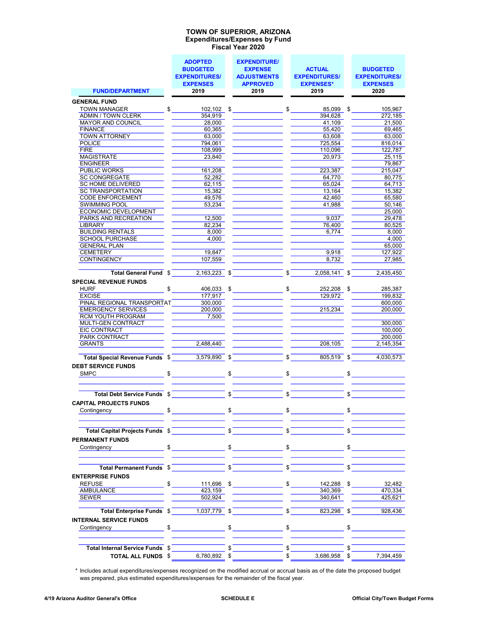#### Expenditures/Expenses by Fund Fiscal Year 2020 TOWN OF SUPERIOR, ARIZONA

|                                                           | <b>ADOPTED</b>       |              | <b>EXPENDITURE/</b>   |                         |                             |     |                      |
|-----------------------------------------------------------|----------------------|--------------|-----------------------|-------------------------|-----------------------------|-----|----------------------|
|                                                           | <b>BUDGETED</b>      |              | <b>EXPENSE</b>        |                         | <b>ACTUAL</b>               |     | <b>BUDGETED</b>      |
|                                                           | <b>EXPENDITURES/</b> |              | <b>ADJUSTMENTS</b>    |                         | <b>EXPENDITURES/</b>        |     | <b>EXPENDITURES/</b> |
|                                                           | <b>EXPENSES</b>      |              | <b>APPROVED</b>       |                         | <b>EXPENSES*</b>            |     | <b>EXPENSES</b>      |
| <b>FUND/DEPARTMENT</b>                                    | 2019                 |              | 2019                  |                         | 2019                        |     | 2020                 |
| <b>GENERAL FUND</b>                                       |                      |              |                       |                         |                             |     |                      |
| TOWN MANAGER                                              | $$102,102 \quad $$   |              |                       |                         | $$85,099$ \$                |     | 105,967              |
| ADMIN / TOWN CLERK                                        | 354,919              |              |                       |                         | 394,628                     |     | 272,185              |
| <b>MAYOR AND COUNCIL</b>                                  | 28,000               |              |                       |                         | 41,109                      |     | 21,500               |
| <b>FINANCE</b>                                            | 60,365               |              |                       |                         | 55,420                      |     | 69,465               |
| TOWN ATTORNEY                                             | 63,000               |              |                       |                         | 63.608                      |     | 63,000               |
| <b>POLICE</b>                                             | 794.061              |              |                       |                         | 725,554                     |     | 816,014              |
| <b>FIRE</b>                                               | 108,999              |              |                       |                         | 110,096                     |     | 122.787              |
| MAGISTRATE                                                | 23,840               |              |                       |                         | 20,973                      |     | 25,115               |
| <b>ENGINEER</b>                                           |                      |              |                       |                         |                             |     | 79,867               |
| <b>PUBLIC WORKS</b>                                       | 161,208              |              |                       |                         | 223,387                     |     | 215,047              |
| <b>SC CONGREGATE</b>                                      | 52.282               |              |                       |                         | 64.770                      |     | 80.775               |
| SC HOME DELIVERED                                         | 62,115               |              |                       |                         | 65,024                      |     | 64,713               |
| <b>SC TRANSPORTATION</b>                                  | 15,382               |              |                       |                         | 13.164                      |     | 15.382               |
| <b>CODE ENFORCEMENT</b>                                   | 49,576               |              |                       |                         | 42,460                      |     | 65,580               |
| <b>SWIMMING POOL</b>                                      | 53,234               |              |                       |                         | 41,988                      |     | 50,146               |
| <b>ECONOMIC DEVELOPMENT</b>                               |                      |              |                       |                         |                             |     | 25,000               |
| PARKS AND RECREATION                                      | 12,500               |              |                       |                         | 9.037                       |     | 29,478               |
| LIBRARY                                                   | 82,234               |              |                       |                         | 76,400                      |     | 80.525               |
| <b>BUILDING RENTALS</b>                                   | 8,000                |              |                       |                         | 6,774                       |     | 8.000                |
| <b>SCHOOL PURCHASE</b>                                    | 4,000                |              |                       |                         |                             |     | 4,000                |
| <b>GENERAL PLAN</b>                                       |                      |              |                       |                         |                             |     | 65,000               |
| CEMETERY                                                  | 19,847               |              |                       |                         | 9,918                       |     | 127,922              |
| CONTINGENCY                                               | 107,559              |              |                       |                         | 8,732                       |     | 27.985               |
|                                                           |                      |              |                       |                         |                             |     |                      |
| Total General Fund \$                                     |                      |              | $2.163.223$ \$        | $\mathbf{s}$            | 2,058,141 \$                |     | 2.435.450            |
| <b>SPECIAL REVENUE FUNDS</b>                              |                      |              |                       |                         |                             |     |                      |
| HURF                                                      | $\sim$<br>406,033 \$ |              |                       |                         | $\frac{1}{2}$<br>252,208 \$ |     | 285,387              |
| EXCISE                                                    | 177,917              |              |                       |                         | 129,972                     |     | 199,832              |
| PINAL REGIONAL TRANSPORTAT                                | 300,000              |              |                       |                         |                             |     | 600,000              |
| <b>EMERGENCY SERVICES</b>                                 | 200,000              |              |                       |                         | 215,234                     |     | 200,000              |
| RCM YOUTH PROGRAM                                         | 7,500                |              |                       |                         |                             |     |                      |
| MULTI-GEN CONTRACT                                        |                      |              |                       |                         |                             |     | 300,000              |
| EIC CONTRACT                                              |                      |              |                       |                         |                             |     | 100.000              |
| PARK CONTRACT                                             |                      |              |                       |                         |                             |     | 200,000              |
| <b>GRANTS</b>                                             | 2,488,440            |              |                       |                         | 208,105                     |     | 2,145,354            |
|                                                           |                      |              |                       |                         |                             |     |                      |
| Total Special Revenue Funds $\sqrt[6]{\frac{3}{579,890}}$ |                      |              |                       |                         | $\sqrt{2}$<br>805,519 \$    |     | 4.030.573            |
|                                                           |                      |              |                       |                         |                             |     |                      |
| <b>DEBT SERVICE FUNDS</b>                                 |                      |              |                       |                         |                             |     |                      |
| SMPC <b>SMPC</b>                                          | $\sim$               | \$           |                       |                         |                             | \$  |                      |
|                                                           |                      |              |                       |                         |                             |     |                      |
|                                                           |                      | $\mathbb{S}$ |                       | \$                      |                             | \$. |                      |
| Total Debt Service Funds \$                               |                      |              |                       |                         |                             |     |                      |
| <b>CAPITAL PROJECTS FUNDS</b>                             |                      |              |                       |                         |                             |     |                      |
| \$<br>Contingency                                         |                      | \$           |                       | \$                      |                             | \$  |                      |
|                                                           |                      |              |                       |                         |                             |     |                      |
|                                                           |                      |              |                       |                         |                             |     |                      |
| Total Capital Projects Funds \$                           |                      |              | $\overline{\text{S}}$ | $\overline{\mathbb{S}}$ |                             | \$. |                      |
| <b>PERMANENT FUNDS</b>                                    |                      |              |                       |                         |                             |     |                      |
| Contingency <b>Contingency</b>                            | $\frac{1}{2}$        |              | $\frac{1}{2}$         |                         | $\frac{1}{2}$               |     | $\sim$               |
|                                                           |                      |              |                       |                         |                             |     |                      |
|                                                           |                      |              |                       |                         |                             |     |                      |
| Total Permanent Funds \$                                  |                      | $\sqrt{s}$   |                       | $\mathbb{S}$            |                             | \$  |                      |
|                                                           |                      |              |                       |                         |                             |     |                      |
| <b>ENTERPRISE FUNDS</b>                                   |                      |              |                       |                         |                             |     |                      |
| <b>REFUSE</b><br>\$                                       | 111,696 \$           |              |                       | \$                      | 142,288 \$                  |     | 32,482               |
| AMBULANCE                                                 | 423,159              |              |                       |                         | 340.369                     |     | 470,334              |
| <b>SEWER</b>                                              | 502,924              |              |                       |                         | 340,641                     |     | 425,621              |
|                                                           |                      |              |                       |                         |                             |     |                      |
| Total Enterprise Funds \$                                 | 1,037,779 \$         |              |                       | \$                      | 823,298 \$                  |     | 928,436              |
| <b>INTERNAL SERVICE FUNDS</b>                             |                      |              |                       |                         |                             |     |                      |
| Contingency _________________                             | $\mathfrak{S}$       | \$           |                       |                         | $\sim$                      | \$  |                      |
|                                                           |                      |              |                       |                         |                             |     |                      |
|                                                           |                      |              |                       |                         |                             |     |                      |
| Total Internal Service Funds \$                           |                      |              |                       |                         |                             |     |                      |
| <b>TOTAL ALL FUNDS \$</b>                                 | 6,780,892 \$         |              |                       | \$                      | 3,686,958 \$                |     | 7,394,459            |

\* Includes actual expenditures/expenses recognized on the modified accrual or accrual basis as of the date the proposed budget was prepared, plus estimated expenditures/expenses for the remainder of the fiscal year.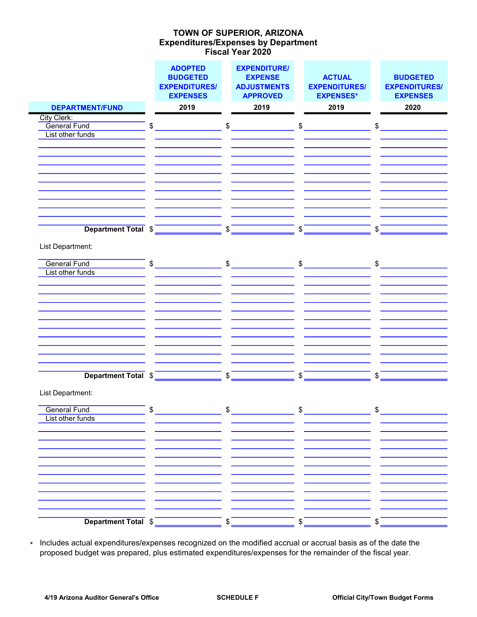### Expenditures/Expenses by Department Fiscal Year 2020 TOWN OF SUPERIOR, ARIZONA

|                                         | <b>ADOPTED</b><br><b>BUDGETED</b><br><b>EXPENDITURES/</b><br><b>EXPENSES</b> |               | <b>EXPENDITURE/</b><br><b>EXPENSE</b><br><b>ADJUSTMENTS</b><br><b>APPROVED</b> |    | <b>ACTUAL</b><br><b>EXPENDITURES/</b><br><b>EXPENSES*</b> |               | <b>BUDGETED</b><br><b>EXPENDITURES/</b><br><b>EXPENSES</b> |
|-----------------------------------------|------------------------------------------------------------------------------|---------------|--------------------------------------------------------------------------------|----|-----------------------------------------------------------|---------------|------------------------------------------------------------|
| <b>DEPARTMENT/FUND</b>                  | 2019                                                                         |               | 2019                                                                           |    | 2019                                                      |               | 2020                                                       |
| City Clerk:                             |                                                                              |               |                                                                                |    |                                                           |               |                                                            |
| <b>General Fund</b>                     | \$                                                                           | \$            |                                                                                | \$ |                                                           | \$            |                                                            |
| List other funds                        |                                                                              |               |                                                                                |    |                                                           |               |                                                            |
|                                         |                                                                              |               |                                                                                |    |                                                           |               |                                                            |
|                                         |                                                                              |               |                                                                                |    |                                                           |               |                                                            |
|                                         |                                                                              |               |                                                                                |    |                                                           |               |                                                            |
|                                         |                                                                              |               |                                                                                |    |                                                           |               |                                                            |
|                                         |                                                                              |               |                                                                                |    |                                                           |               |                                                            |
|                                         |                                                                              |               |                                                                                |    |                                                           |               |                                                            |
|                                         |                                                                              |               |                                                                                |    |                                                           |               |                                                            |
|                                         |                                                                              |               |                                                                                |    |                                                           |               |                                                            |
| Department Total \$                     |                                                                              | \$            |                                                                                | \$ |                                                           | \$            |                                                            |
|                                         |                                                                              |               |                                                                                |    |                                                           |               |                                                            |
| List Department:                        |                                                                              |               |                                                                                |    |                                                           |               |                                                            |
| <b>General Fund</b>                     | \$                                                                           | $\frac{1}{2}$ |                                                                                |    | $$\sim$$                                                  | $\mathsf{\$}$ |                                                            |
| List other funds                        |                                                                              |               |                                                                                |    |                                                           |               |                                                            |
|                                         |                                                                              |               |                                                                                |    |                                                           |               |                                                            |
|                                         |                                                                              |               |                                                                                |    |                                                           |               |                                                            |
|                                         |                                                                              |               |                                                                                |    |                                                           |               |                                                            |
|                                         |                                                                              |               |                                                                                |    |                                                           |               |                                                            |
|                                         |                                                                              |               |                                                                                |    |                                                           |               |                                                            |
|                                         |                                                                              |               |                                                                                |    |                                                           |               |                                                            |
|                                         |                                                                              |               |                                                                                |    |                                                           |               |                                                            |
|                                         |                                                                              |               |                                                                                |    |                                                           |               |                                                            |
|                                         |                                                                              |               |                                                                                |    |                                                           |               |                                                            |
| Department Total \$                     |                                                                              | \$            |                                                                                | \$ |                                                           | \$            |                                                            |
|                                         |                                                                              |               |                                                                                |    |                                                           |               |                                                            |
| List Department:                        |                                                                              |               |                                                                                |    |                                                           |               |                                                            |
| $\bullet$ $\bullet$                     |                                                                              | ¢             |                                                                                | ¢  |                                                           | ¢             |                                                            |
| <b>General Fund</b><br>List other funds |                                                                              |               |                                                                                |    |                                                           |               |                                                            |
|                                         |                                                                              |               |                                                                                |    |                                                           |               |                                                            |
|                                         |                                                                              |               |                                                                                |    |                                                           |               |                                                            |
|                                         |                                                                              |               |                                                                                |    |                                                           |               |                                                            |
|                                         |                                                                              |               |                                                                                |    |                                                           |               |                                                            |
|                                         |                                                                              |               |                                                                                |    |                                                           |               |                                                            |
|                                         |                                                                              |               |                                                                                |    |                                                           |               |                                                            |
|                                         |                                                                              |               |                                                                                |    |                                                           |               |                                                            |
|                                         |                                                                              |               |                                                                                |    |                                                           |               |                                                            |
|                                         |                                                                              |               |                                                                                |    |                                                           |               |                                                            |
|                                         |                                                                              |               |                                                                                |    |                                                           |               |                                                            |
| Department Total \$                     |                                                                              | \$            |                                                                                | \$ |                                                           | \$            |                                                            |

\* Includes actual expenditures/expenses recognized on the modified accrual or accrual basis as of the date the proposed budget was prepared, plus estimated expenditures/expenses for the remainder of the fiscal year.